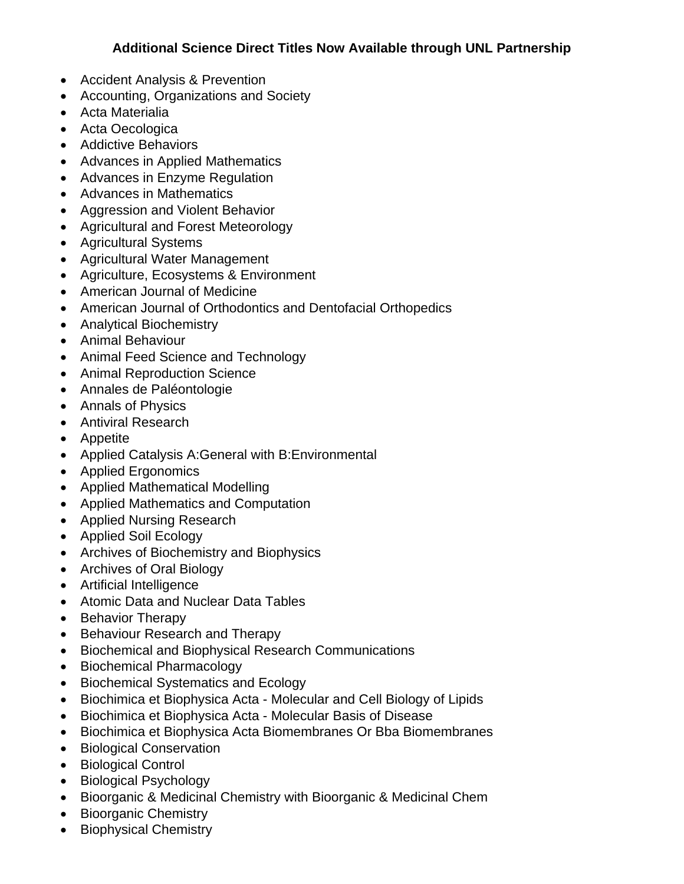## **Additional Science Direct Titles Now Available through UNL Partnership**

- Accident Analysis & Prevention
- Accounting, Organizations and Society
- Acta Materialia
- Acta Oecologica
- Addictive Behaviors
- Advances in Applied Mathematics
- Advances in Enzyme Regulation
- Advances in Mathematics
- Aggression and Violent Behavior
- Agricultural and Forest Meteorology
- Agricultural Systems
- Agricultural Water Management
- Agriculture, Ecosystems & Environment
- American Journal of Medicine
- American Journal of Orthodontics and Dentofacial Orthopedics
- Analytical Biochemistry
- Animal Behaviour
- Animal Feed Science and Technology
- Animal Reproduction Science
- Annales de Paléontologie
- Annals of Physics
- Antiviral Research
- Appetite
- Applied Catalysis A:General with B:Environmental
- Applied Ergonomics
- Applied Mathematical Modelling
- Applied Mathematics and Computation
- Applied Nursing Research
- Applied Soil Ecology
- Archives of Biochemistry and Biophysics
- Archives of Oral Biology
- Artificial Intelligence
- Atomic Data and Nuclear Data Tables
- Behavior Therapy
- Behaviour Research and Therapy
- Biochemical and Biophysical Research Communications
- Biochemical Pharmacology
- Biochemical Systematics and Ecology
- Biochimica et Biophysica Acta Molecular and Cell Biology of Lipids
- Biochimica et Biophysica Acta Molecular Basis of Disease
- Biochimica et Biophysica Acta Biomembranes Or Bba Biomembranes
- Biological Conservation
- Biological Control
- Biological Psychology
- Bioorganic & Medicinal Chemistry with Bioorganic & Medicinal Chem
- Bioorganic Chemistry
- Biophysical Chemistry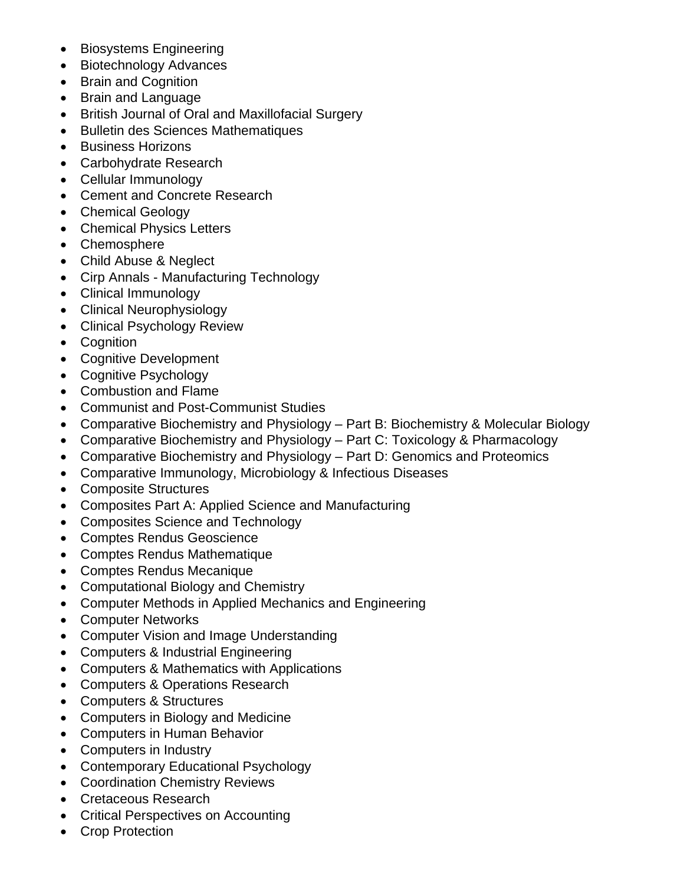- Biosystems Engineering
- Biotechnology Advances
- Brain and Cognition
- Brain and Language
- British Journal of Oral and Maxillofacial Surgery
- Bulletin des Sciences Mathematiques
- Business Horizons
- Carbohydrate Research
- Cellular Immunology
- Cement and Concrete Research
- Chemical Geology
- Chemical Physics Letters
- Chemosphere
- Child Abuse & Neglect
- Cirp Annals Manufacturing Technology
- Clinical Immunology
- Clinical Neurophysiology
- Clinical Psychology Review
- Cognition
- Cognitive Development
- Cognitive Psychology
- Combustion and Flame
- Communist and Post-Communist Studies
- Comparative Biochemistry and Physiology Part B: Biochemistry & Molecular Biology
- Comparative Biochemistry and Physiology Part C: Toxicology & Pharmacology
- Comparative Biochemistry and Physiology Part D: Genomics and Proteomics
- Comparative Immunology, Microbiology & Infectious Diseases
- Composite Structures
- Composites Part A: Applied Science and Manufacturing
- Composites Science and Technology
- Comptes Rendus Geoscience
- Comptes Rendus Mathematique
- Comptes Rendus Mecanique
- Computational Biology and Chemistry
- Computer Methods in Applied Mechanics and Engineering
- Computer Networks
- Computer Vision and Image Understanding
- Computers & Industrial Engineering
- Computers & Mathematics with Applications
- Computers & Operations Research
- Computers & Structures
- Computers in Biology and Medicine
- Computers in Human Behavior
- Computers in Industry
- Contemporary Educational Psychology
- Coordination Chemistry Reviews
- Cretaceous Research
- Critical Perspectives on Accounting
- Crop Protection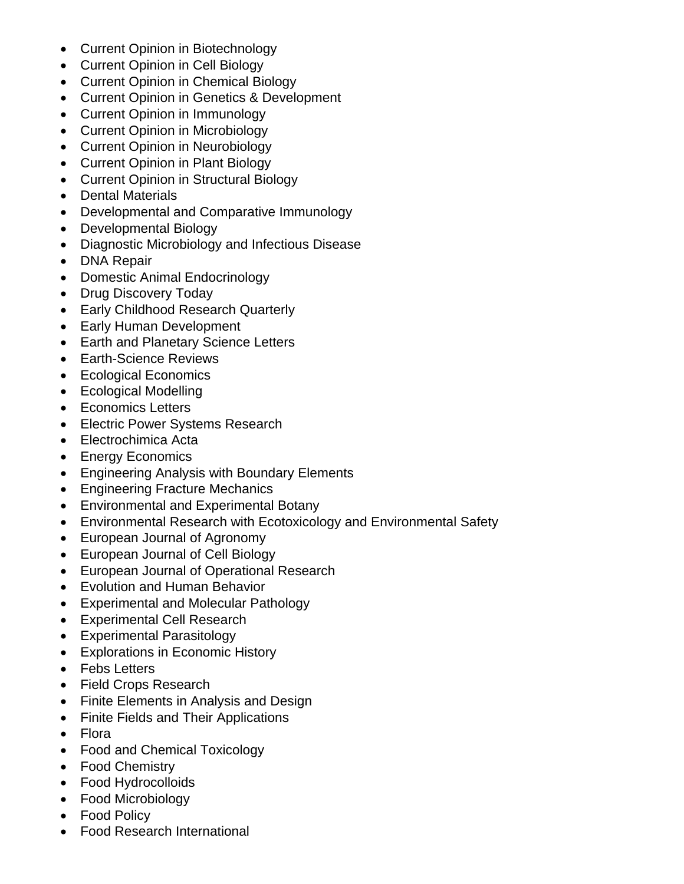- Current Opinion in Biotechnology
- Current Opinion in Cell Biology
- Current Opinion in Chemical Biology
- Current Opinion in Genetics & Development
- Current Opinion in Immunology
- Current Opinion in Microbiology
- Current Opinion in Neurobiology
- Current Opinion in Plant Biology
- Current Opinion in Structural Biology
- Dental Materials
- Developmental and Comparative Immunology
- Developmental Biology
- Diagnostic Microbiology and Infectious Disease
- DNA Repair
- Domestic Animal Endocrinology
- Drug Discovery Today
- Early Childhood Research Quarterly
- Early Human Development
- Earth and Planetary Science Letters
- Earth-Science Reviews
- Ecological Economics
- Ecological Modelling
- Economics Letters
- Electric Power Systems Research
- Electrochimica Acta
- Energy Economics
- Engineering Analysis with Boundary Elements
- Engineering Fracture Mechanics
- Environmental and Experimental Botany
- Environmental Research with Ecotoxicology and Environmental Safety
- European Journal of Agronomy
- European Journal of Cell Biology
- European Journal of Operational Research
- Evolution and Human Behavior
- Experimental and Molecular Pathology
- Experimental Cell Research
- Experimental Parasitology
- Explorations in Economic History
- Febs Letters
- Field Crops Research
- Finite Elements in Analysis and Design
- Finite Fields and Their Applications
- Flora
- Food and Chemical Toxicology
- Food Chemistry
- Food Hydrocolloids
- Food Microbiology
- Food Policy
- Food Research International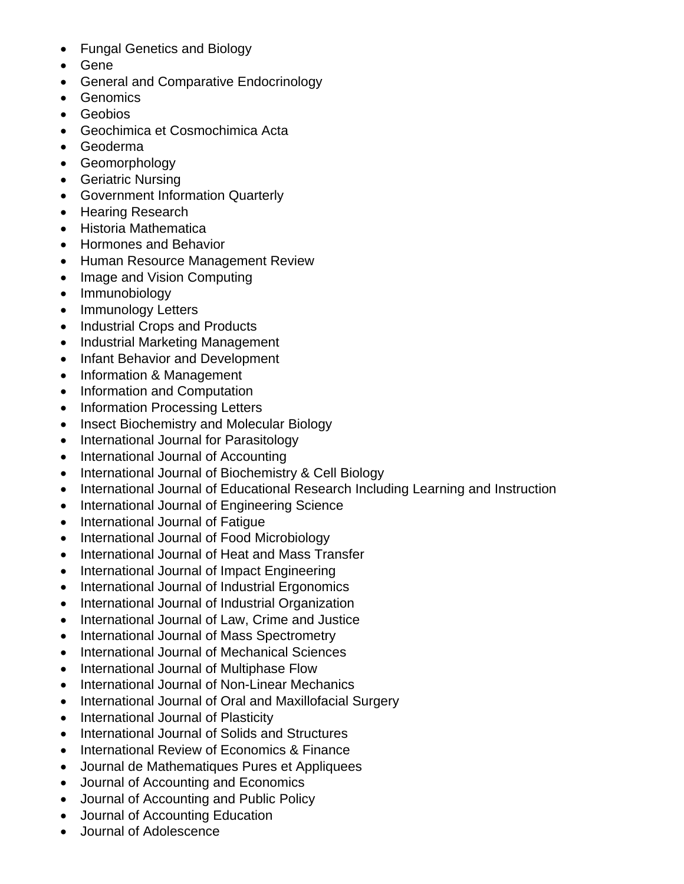- Fungal Genetics and Biology
- Gene
- General and Comparative Endocrinology
- Genomics
- Geobios
- Geochimica et Cosmochimica Acta
- Geoderma
- Geomorphology
- Geriatric Nursing
- Government Information Quarterly
- Hearing Research
- Historia Mathematica
- Hormones and Behavior
- Human Resource Management Review
- Image and Vision Computing
- Immunobiology
- Immunology Letters
- Industrial Crops and Products
- Industrial Marketing Management
- Infant Behavior and Development
- Information & Management
- Information and Computation
- Information Processing Letters
- Insect Biochemistry and Molecular Biology
- International Journal for Parasitology
- International Journal of Accounting
- International Journal of Biochemistry & Cell Biology
- International Journal of Educational Research Including Learning and Instruction
- International Journal of Engineering Science
- International Journal of Fatigue
- International Journal of Food Microbiology
- International Journal of Heat and Mass Transfer
- International Journal of Impact Engineering
- International Journal of Industrial Ergonomics
- International Journal of Industrial Organization
- International Journal of Law, Crime and Justice
- International Journal of Mass Spectrometry
- International Journal of Mechanical Sciences
- International Journal of Multiphase Flow
- International Journal of Non-Linear Mechanics
- International Journal of Oral and Maxillofacial Surgery
- International Journal of Plasticity
- International Journal of Solids and Structures
- International Review of Economics & Finance
- Journal de Mathematiques Pures et Appliquees
- Journal of Accounting and Economics
- Journal of Accounting and Public Policy
- Journal of Accounting Education
- Journal of Adolescence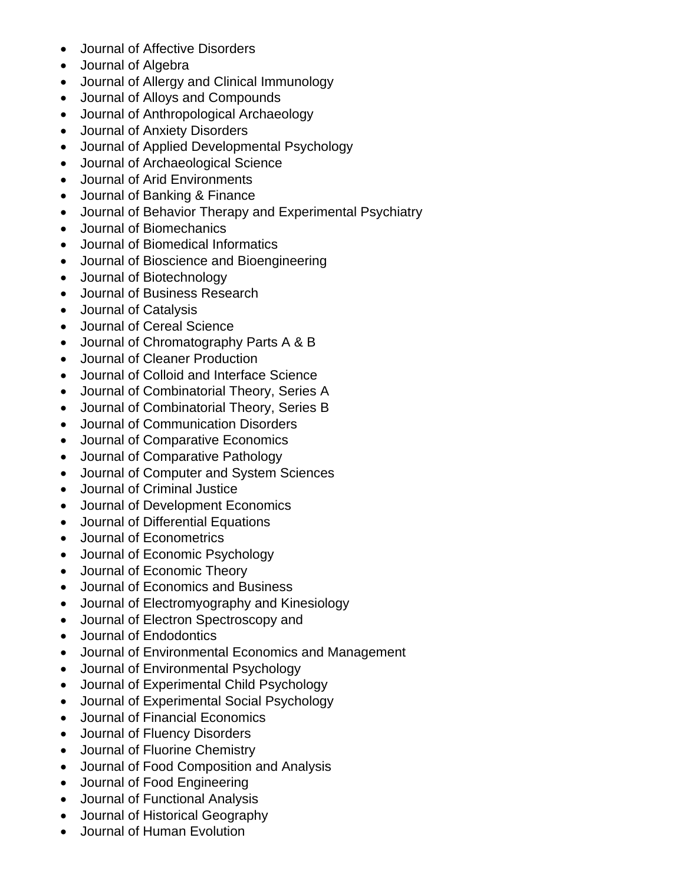- Journal of Affective Disorders
- Journal of Algebra
- Journal of Allergy and Clinical Immunology
- Journal of Alloys and Compounds
- Journal of Anthropological Archaeology
- Journal of Anxiety Disorders
- Journal of Applied Developmental Psychology
- Journal of Archaeological Science
- Journal of Arid Environments
- Journal of Banking & Finance
- Journal of Behavior Therapy and Experimental Psychiatry
- Journal of Biomechanics
- Journal of Biomedical Informatics
- Journal of Bioscience and Bioengineering
- Journal of Biotechnology
- Journal of Business Research
- Journal of Catalysis
- Journal of Cereal Science
- Journal of Chromatography Parts A & B
- Journal of Cleaner Production
- Journal of Colloid and Interface Science
- Journal of Combinatorial Theory, Series A
- Journal of Combinatorial Theory, Series B
- Journal of Communication Disorders
- Journal of Comparative Economics
- Journal of Comparative Pathology
- Journal of Computer and System Sciences
- Journal of Criminal Justice
- Journal of Development Economics
- Journal of Differential Equations
- Journal of Econometrics
- Journal of Economic Psychology
- Journal of Economic Theory
- Journal of Economics and Business
- Journal of Electromyography and Kinesiology
- Journal of Electron Spectroscopy and
- Journal of Endodontics
- Journal of Environmental Economics and Management
- Journal of Environmental Psychology
- Journal of Experimental Child Psychology
- Journal of Experimental Social Psychology
- Journal of Financial Economics
- Journal of Fluency Disorders
- Journal of Fluorine Chemistry
- Journal of Food Composition and Analysis
- Journal of Food Engineering
- Journal of Functional Analysis
- Journal of Historical Geography
- Journal of Human Evolution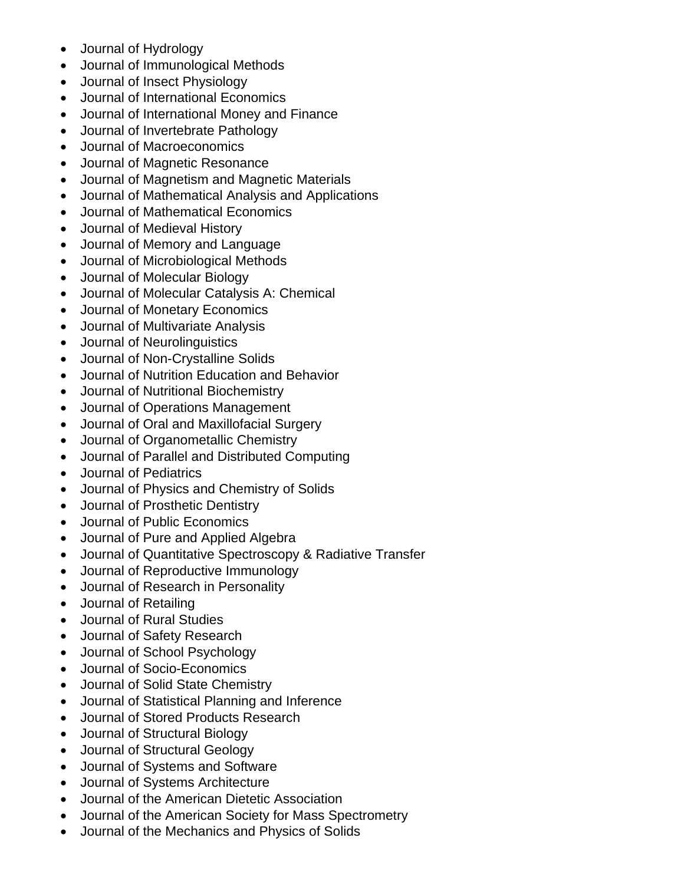- Journal of Hydrology
- Journal of Immunological Methods
- Journal of Insect Physiology
- Journal of International Economics
- Journal of International Money and Finance
- Journal of Invertebrate Pathology
- Journal of Macroeconomics
- Journal of Magnetic Resonance
- Journal of Magnetism and Magnetic Materials
- Journal of Mathematical Analysis and Applications
- Journal of Mathematical Economics
- Journal of Medieval History
- Journal of Memory and Language
- Journal of Microbiological Methods
- Journal of Molecular Biology
- Journal of Molecular Catalysis A: Chemical
- Journal of Monetary Economics
- Journal of Multivariate Analysis
- Journal of Neurolinguistics
- Journal of Non-Crystalline Solids
- Journal of Nutrition Education and Behavior
- Journal of Nutritional Biochemistry
- Journal of Operations Management
- Journal of Oral and Maxillofacial Surgery
- Journal of Organometallic Chemistry
- Journal of Parallel and Distributed Computing
- Journal of Pediatrics
- Journal of Physics and Chemistry of Solids
- Journal of Prosthetic Dentistry
- Journal of Public Economics
- Journal of Pure and Applied Algebra
- Journal of Quantitative Spectroscopy & Radiative Transfer
- Journal of Reproductive Immunology
- Journal of Research in Personality
- Journal of Retailing
- Journal of Rural Studies
- Journal of Safety Research
- Journal of School Psychology
- Journal of Socio-Economics
- Journal of Solid State Chemistry
- Journal of Statistical Planning and Inference
- Journal of Stored Products Research
- Journal of Structural Biology
- Journal of Structural Geology
- Journal of Systems and Software
- Journal of Systems Architecture
- Journal of the American Dietetic Association
- Journal of the American Society for Mass Spectrometry
- Journal of the Mechanics and Physics of Solids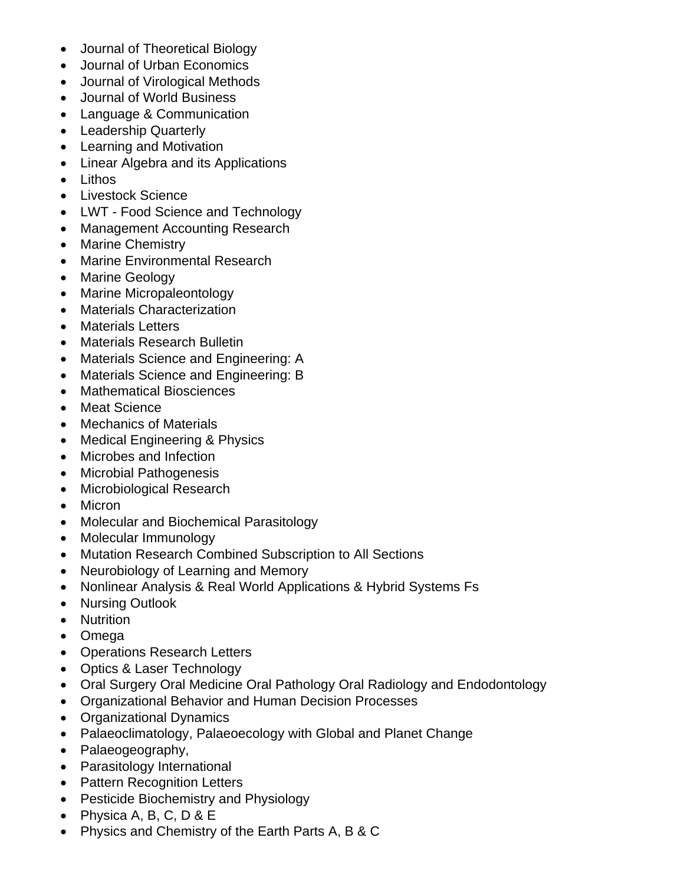- Journal of Theoretical Biology
- Journal of Urban Economics
- Journal of Virological Methods
- Journal of World Business
- Language & Communication
- Leadership Quarterly
- Learning and Motivation
- Linear Algebra and its Applications
- Lithos
- Livestock Science
- LWT Food Science and Technology
- Management Accounting Research
- Marine Chemistry
- Marine Environmental Research
- Marine Geology
- Marine Micropaleontology
- Materials Characterization
- Materials Letters
- Materials Research Bulletin
- Materials Science and Engineering: A
- Materials Science and Engineering: B
- Mathematical Biosciences
- Meat Science
- Mechanics of Materials
- Medical Engineering & Physics
- Microbes and Infection
- Microbial Pathogenesis
- Microbiological Research
- Micron
- Molecular and Biochemical Parasitology
- Molecular Immunology
- Mutation Research Combined Subscription to All Sections
- Neurobiology of Learning and Memory
- Nonlinear Analysis & Real World Applications & Hybrid Systems Fs
- Nursing Outlook
- Nutrition
- Omega
- Operations Research Letters
- Optics & Laser Technology
- Oral Surgery Oral Medicine Oral Pathology Oral Radiology and Endodontology
- Organizational Behavior and Human Decision Processes
- Organizational Dynamics
- Palaeoclimatology, Palaeoecology with Global and Planet Change
- Palaeogeography,
- Parasitology International
- Pattern Recognition Letters
- Pesticide Biochemistry and Physiology
- Physica A, B, C, D & E
- Physics and Chemistry of the Earth Parts A, B & C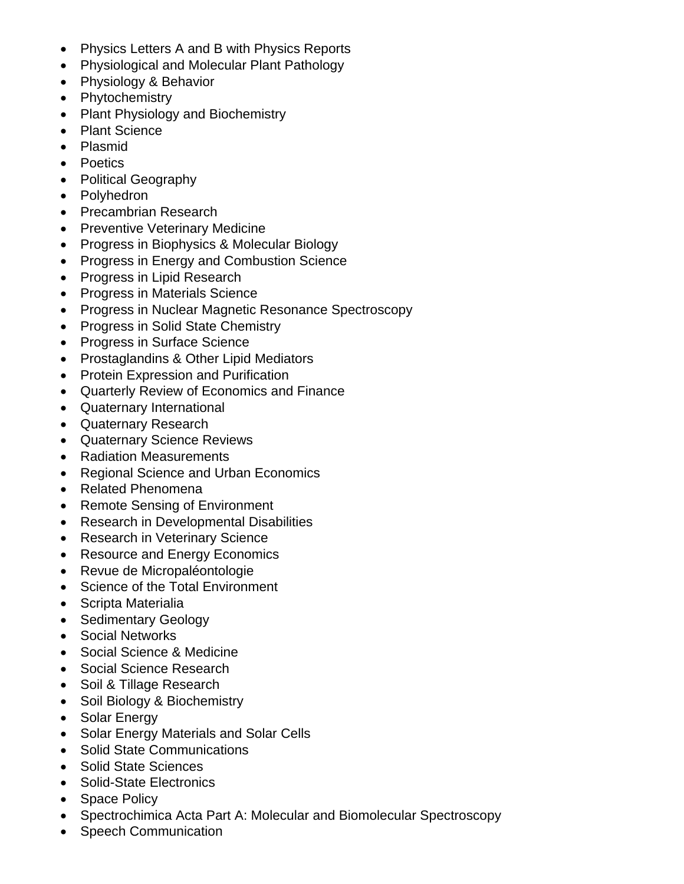- Physics Letters A and B with Physics Reports
- Physiological and Molecular Plant Pathology
- Physiology & Behavior
- Phytochemistry
- Plant Physiology and Biochemistry
- Plant Science
- Plasmid
- Poetics
- Political Geography
- Polyhedron
- Precambrian Research
- Preventive Veterinary Medicine
- Progress in Biophysics & Molecular Biology
- Progress in Energy and Combustion Science
- Progress in Lipid Research
- Progress in Materials Science
- Progress in Nuclear Magnetic Resonance Spectroscopy
- Progress in Solid State Chemistry
- Progress in Surface Science
- Prostaglandins & Other Lipid Mediators
- Protein Expression and Purification
- Quarterly Review of Economics and Finance
- Quaternary International
- Quaternary Research
- Quaternary Science Reviews
- Radiation Measurements
- Regional Science and Urban Economics
- Related Phenomena
- Remote Sensing of Environment
- Research in Developmental Disabilities
- Research in Veterinary Science
- Resource and Energy Economics
- Revue de Micropaléontologie
- Science of the Total Environment
- Scripta Materialia
- Sedimentary Geology
- Social Networks
- Social Science & Medicine
- Social Science Research
- Soil & Tillage Research
- Soil Biology & Biochemistry
- Solar Energy
- Solar Energy Materials and Solar Cells
- Solid State Communications
- Solid State Sciences
- Solid-State Electronics
- Space Policy
- Spectrochimica Acta Part A: Molecular and Biomolecular Spectroscopy
- Speech Communication